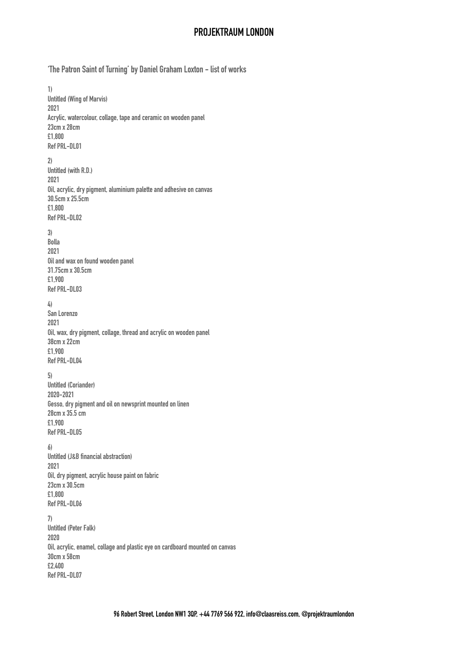## **PROJEKTRAUM LONDON**

**'The Patron Saint of Turning' by Daniel Graham Loxton - list of works** 

**1) Untitled (Wing of Marvis) 2021 Acrylic, watercolour, collage, tape and ceramic on wooden panel 23cm x 28cm £1,800 Ref PRL-DL01 2) Untitled (with R.D.) 2021 Oil, acrylic, dry pigment, aluminium palette and adhesive on canvas 30.5cm x 25.5cm £1,800 Ref PRL-DL02 3) Bolla 2021 Oil and wax on found wooden panel 31.75cm x 30.5cm £1,900 Ref PRL-DL03 4) San Lorenzo 2021 Oil, wax, dry pigment, collage, thread and acrylic on wooden panel 38cm x 22cm £1,900 Ref PRL-DL04 5) Untitled (Coriander) 2020-2021 Gesso, dry pigment and oil on newsprint mounted on linen 28cm x 35.5 cm £1,900 Ref PRL-DL05 6) Untitled (J&B financial abstraction) 2021 Oil, dry pigment, acrylic house paint on fabric 23cm x 30.5cm £1,800 Ref PRL-DL06 7) Untitled (Peter Falk) 2020 Oil, acrylic, enamel, collage and plastic eye on cardboard mounted on canvas 30cm x 58cm £2,400 Ref PRL-DL07**